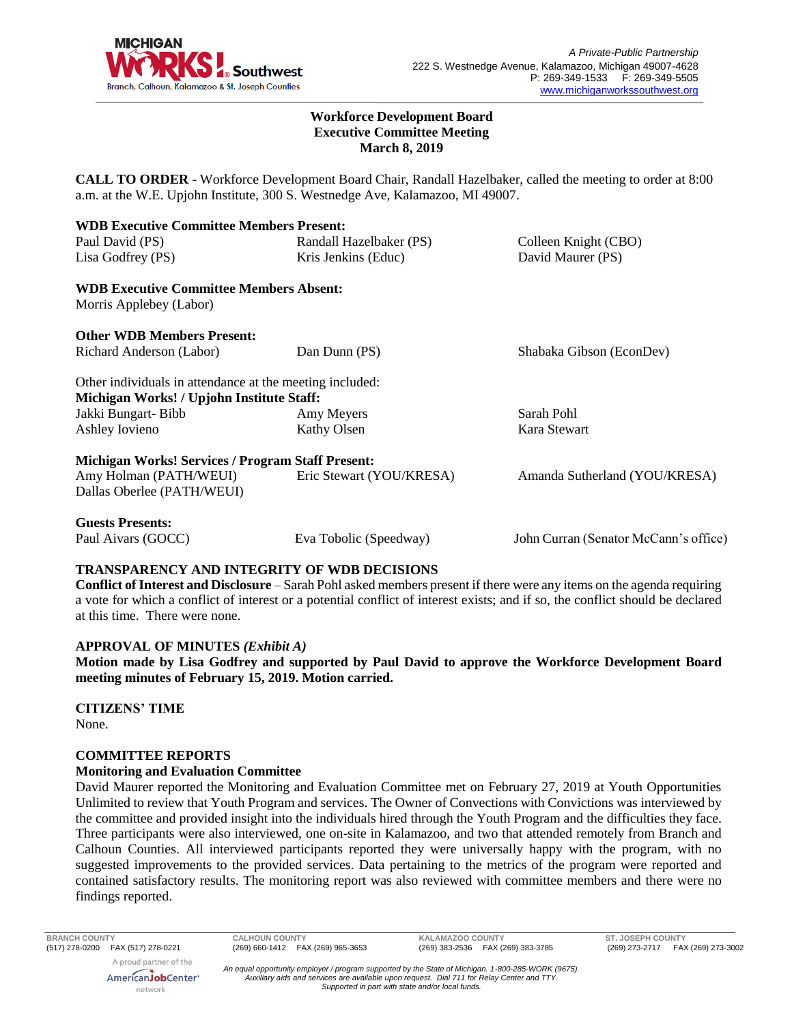

#### **Workforce Development Board Executive Committee Meeting March 8, 2019**

**CALL TO ORDER** - Workforce Development Board Chair, Randall Hazelbaker, called the meeting to order at 8:00 a.m. at the W.E. Upjohn Institute, 300 S. Westnedge Ave, Kalamazoo, MI 49007.

| <b>WDB Executive Committee Members Present:</b>          |                          |                                       |
|----------------------------------------------------------|--------------------------|---------------------------------------|
| Paul David (PS)                                          | Randall Hazelbaker (PS)  | Colleen Knight (CBO)                  |
| Lisa Godfrey (PS)                                        | Kris Jenkins (Educ)      | David Maurer (PS)                     |
| <b>WDB Executive Committee Members Absent:</b>           |                          |                                       |
| Morris Applebey (Labor)                                  |                          |                                       |
| <b>Other WDB Members Present:</b>                        |                          |                                       |
| Richard Anderson (Labor)                                 | Dan Dunn (PS)            | Shabaka Gibson (EconDev)              |
| Other individuals in attendance at the meeting included: |                          |                                       |
| Michigan Works! / Upjohn Institute Staff:                |                          |                                       |
| Jakki Bungart-Bibb                                       | Amy Meyers               | Sarah Pohl                            |
| Ashley Iovieno                                           | Kathy Olsen              | Kara Stewart                          |
| <b>Michigan Works! Services / Program Staff Present:</b> |                          |                                       |
| Amy Holman (PATH/WEUI)                                   | Eric Stewart (YOU/KRESA) | Amanda Sutherland (YOU/KRESA)         |
| Dallas Oberlee (PATH/WEUI)                               |                          |                                       |
| <b>Guests Presents:</b>                                  |                          |                                       |
| Paul Aivars (GOCC)                                       | Eva Tobolic (Speedway)   | John Curran (Senator McCann's office) |

# **TRANSPARENCY AND INTEGRITY OF WDB DECISIONS**

**Conflict of Interest and Disclosure** – Sarah Pohl asked members present if there were any items on the agenda requiring a vote for which a conflict of interest or a potential conflict of interest exists; and if so, the conflict should be declared at this time. There were none.

### **APPROVAL OF MINUTES** *(Exhibit A)*

**Motion made by Lisa Godfrey and supported by Paul David to approve the Workforce Development Board meeting minutes of February 15, 2019. Motion carried.** 

**CITIZENS' TIME** None.

### **COMMITTEE REPORTS**

### **Monitoring and Evaluation Committee**

David Maurer reported the Monitoring and Evaluation Committee met on February 27, 2019 at Youth Opportunities Unlimited to review that Youth Program and services. The Owner of Convections with Convictions was interviewed by the committee and provided insight into the individuals hired through the Youth Program and the difficulties they face. Three participants were also interviewed, one on-site in Kalamazoo, and two that attended remotely from Branch and Calhoun Counties. All interviewed participants reported they were universally happy with the program, with no suggested improvements to the provided services. Data pertaining to the metrics of the program were reported and contained satisfactory results. The monitoring report was also reviewed with committee members and there were no findings reported.

network

**BRANCH COUNTY CALHOUN COUNTY KALAMAZOO COUNTY ST. JOSEPH COUNTY**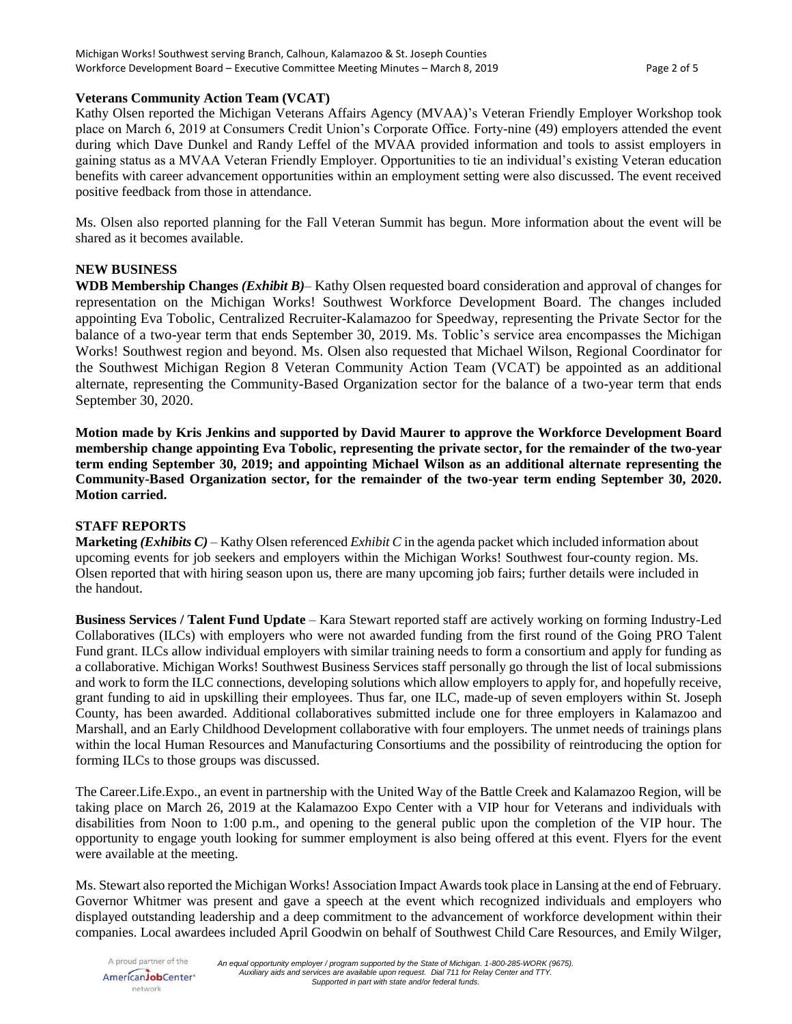# **Veterans Community Action Team (VCAT)**

Kathy Olsen reported the Michigan Veterans Affairs Agency (MVAA)'s Veteran Friendly Employer Workshop took place on March 6, 2019 at Consumers Credit Union's Corporate Office. Forty-nine (49) employers attended the event during which Dave Dunkel and Randy Leffel of the MVAA provided information and tools to assist employers in gaining status as a MVAA Veteran Friendly Employer. Opportunities to tie an individual's existing Veteran education benefits with career advancement opportunities within an employment setting were also discussed. The event received positive feedback from those in attendance.

Ms. Olsen also reported planning for the Fall Veteran Summit has begun. More information about the event will be shared as it becomes available.

## **NEW BUSINESS**

**WDB Membership Changes** *(Exhibit B)*– Kathy Olsen requested board consideration and approval of changes for representation on the Michigan Works! Southwest Workforce Development Board. The changes included appointing Eva Tobolic, Centralized Recruiter-Kalamazoo for Speedway, representing the Private Sector for the balance of a two-year term that ends September 30, 2019. Ms. Toblic's service area encompasses the Michigan Works! Southwest region and beyond. Ms. Olsen also requested that Michael Wilson, Regional Coordinator for the Southwest Michigan Region 8 Veteran Community Action Team (VCAT) be appointed as an additional alternate, representing the Community-Based Organization sector for the balance of a two-year term that ends September 30, 2020.

**Motion made by Kris Jenkins and supported by David Maurer to approve the Workforce Development Board membership change appointing Eva Tobolic, representing the private sector, for the remainder of the two-year term ending September 30, 2019; and appointing Michael Wilson as an additional alternate representing the Community-Based Organization sector, for the remainder of the two-year term ending September 30, 2020. Motion carried.**

### **STAFF REPORTS**

**Marketing** *(Exhibits C)* – Kathy Olsen referenced *Exhibit C* in the agenda packet which included information about upcoming events for job seekers and employers within the Michigan Works! Southwest four-county region. Ms. Olsen reported that with hiring season upon us, there are many upcoming job fairs; further details were included in the handout.

**Business Services / Talent Fund Update** – Kara Stewart reported staff are actively working on forming Industry-Led Collaboratives (ILCs) with employers who were not awarded funding from the first round of the Going PRO Talent Fund grant. ILCs allow individual employers with similar training needs to form a consortium and apply for funding as a collaborative. Michigan Works! Southwest Business Services staff personally go through the list of local submissions and work to form the ILC connections, developing solutions which allow employers to apply for, and hopefully receive, grant funding to aid in upskilling their employees. Thus far, one ILC, made-up of seven employers within St. Joseph County, has been awarded. Additional collaboratives submitted include one for three employers in Kalamazoo and Marshall, and an Early Childhood Development collaborative with four employers. The unmet needs of trainings plans within the local Human Resources and Manufacturing Consortiums and the possibility of reintroducing the option for forming ILCs to those groups was discussed.

The Career.Life.Expo., an event in partnership with the United Way of the Battle Creek and Kalamazoo Region, will be taking place on March 26, 2019 at the Kalamazoo Expo Center with a VIP hour for Veterans and individuals with disabilities from Noon to 1:00 p.m., and opening to the general public upon the completion of the VIP hour. The opportunity to engage youth looking for summer employment is also being offered at this event. Flyers for the event were available at the meeting.

Ms. Stewart also reported the Michigan Works! Association Impact Awards took place in Lansing at the end of February. Governor Whitmer was present and gave a speech at the event which recognized individuals and employers who displayed outstanding leadership and a deep commitment to the advancement of workforce development within their companies. Local awardees included April Goodwin on behalf of Southwest Child Care Resources, and Emily Wilger,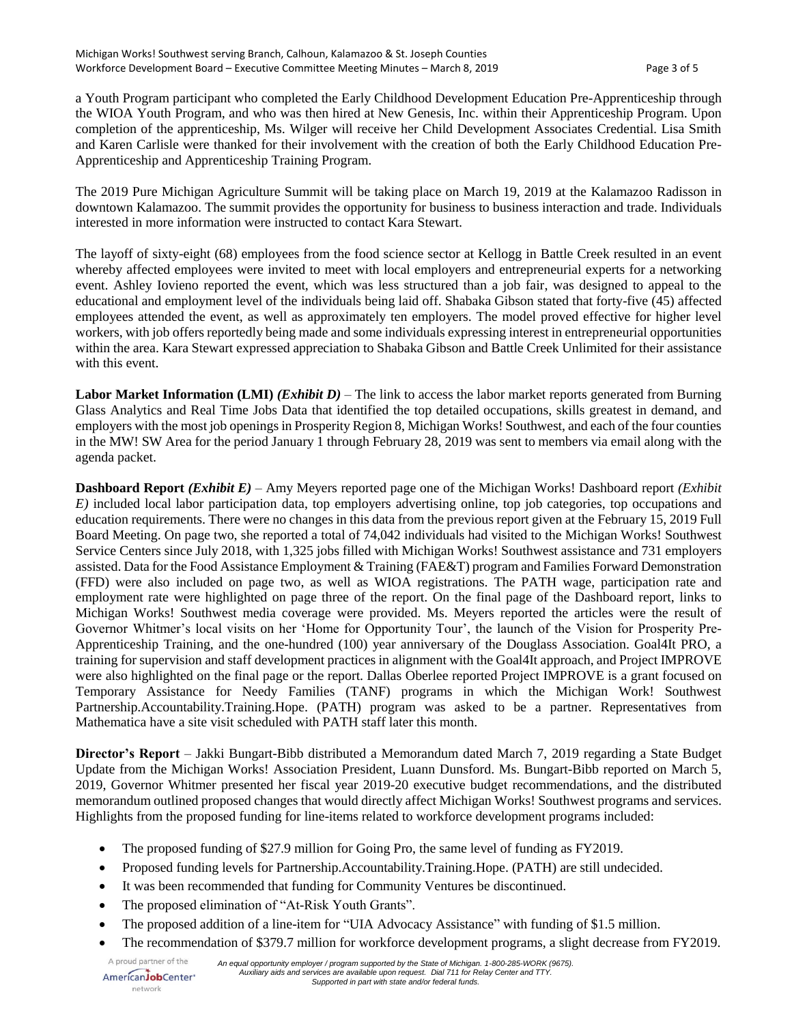a Youth Program participant who completed the Early Childhood Development Education Pre-Apprenticeship through the WIOA Youth Program, and who was then hired at New Genesis, Inc. within their Apprenticeship Program. Upon completion of the apprenticeship, Ms. Wilger will receive her Child Development Associates Credential. Lisa Smith and Karen Carlisle were thanked for their involvement with the creation of both the Early Childhood Education Pre-Apprenticeship and Apprenticeship Training Program.

The 2019 Pure Michigan Agriculture Summit will be taking place on March 19, 2019 at the Kalamazoo Radisson in downtown Kalamazoo. The summit provides the opportunity for business to business interaction and trade. Individuals interested in more information were instructed to contact Kara Stewart.

The layoff of sixty-eight (68) employees from the food science sector at Kellogg in Battle Creek resulted in an event whereby affected employees were invited to meet with local employers and entrepreneurial experts for a networking event. Ashley Iovieno reported the event, which was less structured than a job fair, was designed to appeal to the educational and employment level of the individuals being laid off. Shabaka Gibson stated that forty-five (45) affected employees attended the event, as well as approximately ten employers. The model proved effective for higher level workers, with job offers reportedly being made and some individuals expressing interest in entrepreneurial opportunities within the area. Kara Stewart expressed appreciation to Shabaka Gibson and Battle Creek Unlimited for their assistance with this event.

**Labor Market Information (LMI)** *(Exhibit D)* – The link to access the labor market reports generated from Burning Glass Analytics and Real Time Jobs Data that identified the top detailed occupations, skills greatest in demand, and employers with the most job openings in Prosperity Region 8, Michigan Works! Southwest, and each of the four counties in the MW! SW Area for the period January 1 through February 28, 2019 was sent to members via email along with the agenda packet.

**Dashboard Report** *(Exhibit E)* – Amy Meyers reported page one of the Michigan Works! Dashboard report *(Exhibit E)* included local labor participation data, top employers advertising online, top job categories, top occupations and education requirements. There were no changes in this data from the previous report given at the February 15, 2019 Full Board Meeting. On page two, she reported a total of 74,042 individuals had visited to the Michigan Works! Southwest Service Centers since July 2018, with 1,325 jobs filled with Michigan Works! Southwest assistance and 731 employers assisted. Data for the Food Assistance Employment & Training (FAE&T) program and Families Forward Demonstration (FFD) were also included on page two, as well as WIOA registrations. The PATH wage, participation rate and employment rate were highlighted on page three of the report. On the final page of the Dashboard report, links to Michigan Works! Southwest media coverage were provided. Ms. Meyers reported the articles were the result of Governor Whitmer's local visits on her 'Home for Opportunity Tour', the launch of the Vision for Prosperity Pre-Apprenticeship Training, and the one-hundred (100) year anniversary of the Douglass Association. Goal4It PRO, a training for supervision and staff development practices in alignment with the Goal4It approach, and Project IMPROVE were also highlighted on the final page or the report. Dallas Oberlee reported Project IMPROVE is a grant focused on Temporary Assistance for Needy Families (TANF) programs in which the Michigan Work! Southwest Partnership.Accountability.Training.Hope. (PATH) program was asked to be a partner. Representatives from Mathematica have a site visit scheduled with PATH staff later this month.

**Director's Report** – Jakki Bungart-Bibb distributed a Memorandum dated March 7, 2019 regarding a State Budget Update from the Michigan Works! Association President, Luann Dunsford. Ms. Bungart-Bibb reported on March 5, 2019, Governor Whitmer presented her fiscal year 2019-20 executive budget recommendations, and the distributed memorandum outlined proposed changes that would directly affect Michigan Works! Southwest programs and services. Highlights from the proposed funding for line-items related to workforce development programs included:

- The proposed funding of \$27.9 million for Going Pro, the same level of funding as FY2019.
- Proposed funding levels for Partnership.Accountability.Training.Hope. (PATH) are still undecided.
- It was been recommended that funding for Community Ventures be discontinued.
- The proposed elimination of "At-Risk Youth Grants".
- The proposed addition of a line-item for "UIA Advocacy Assistance" with funding of \$1.5 million.
- The recommendation of \$379.7 million for workforce development programs, a slight decrease from FY2019.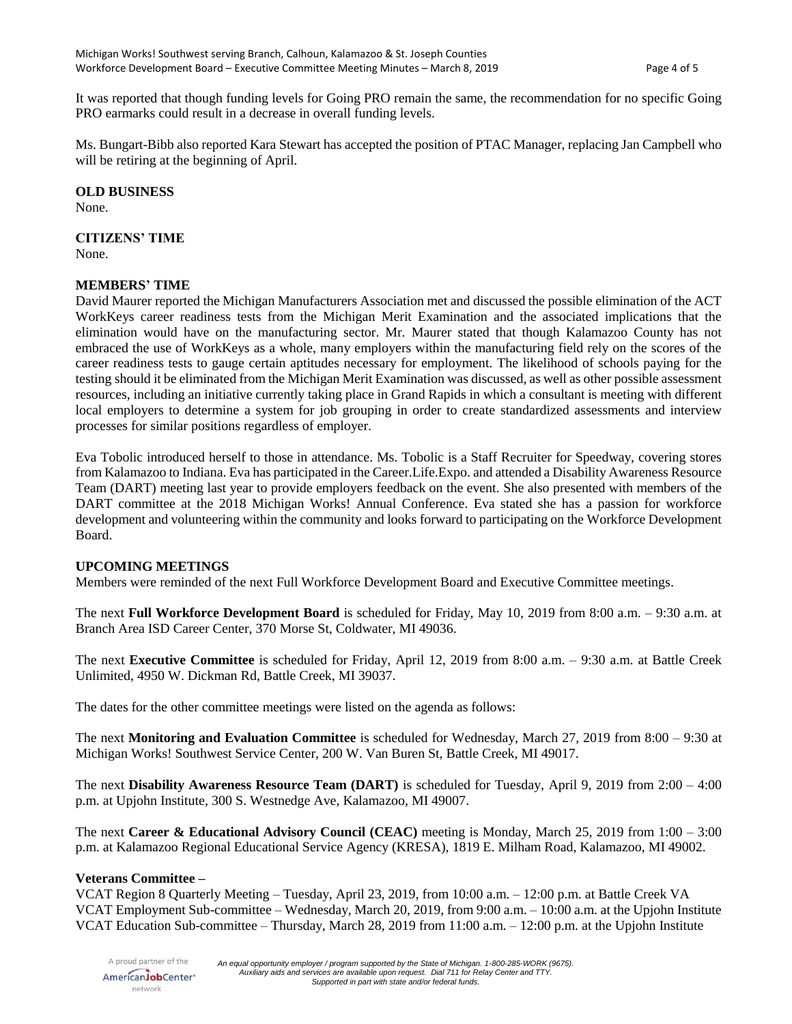It was reported that though funding levels for Going PRO remain the same, the recommendation for no specific Going PRO earmarks could result in a decrease in overall funding levels.

Ms. Bungart-Bibb also reported Kara Stewart has accepted the position of PTAC Manager, replacing Jan Campbell who will be retiring at the beginning of April.

#### **OLD BUSINESS**

None.

## **CITIZENS' TIME**

None.

## **MEMBERS' TIME**

David Maurer reported the Michigan Manufacturers Association met and discussed the possible elimination of the ACT WorkKeys career readiness tests from the Michigan Merit Examination and the associated implications that the elimination would have on the manufacturing sector. Mr. Maurer stated that though Kalamazoo County has not embraced the use of WorkKeys as a whole, many employers within the manufacturing field rely on the scores of the career readiness tests to gauge certain aptitudes necessary for employment. The likelihood of schools paying for the testing should it be eliminated from the Michigan Merit Examination was discussed, as well as other possible assessment resources, including an initiative currently taking place in Grand Rapids in which a consultant is meeting with different local employers to determine a system for job grouping in order to create standardized assessments and interview processes for similar positions regardless of employer.

Eva Tobolic introduced herself to those in attendance. Ms. Tobolic is a Staff Recruiter for Speedway, covering stores from Kalamazoo to Indiana. Eva has participated in the Career.Life.Expo. and attended a Disability Awareness Resource Team (DART) meeting last year to provide employers feedback on the event. She also presented with members of the DART committee at the 2018 Michigan Works! Annual Conference. Eva stated she has a passion for workforce development and volunteering within the community and looks forward to participating on the Workforce Development Board.

### **UPCOMING MEETINGS**

Members were reminded of the next Full Workforce Development Board and Executive Committee meetings.

The next **Full Workforce Development Board** is scheduled for Friday, May 10, 2019 from 8:00 a.m. – 9:30 a.m. at Branch Area ISD Career Center, 370 Morse St, Coldwater, MI 49036.

The next **Executive Committee** is scheduled for Friday, April 12, 2019 from 8:00 a.m. – 9:30 a.m. at Battle Creek Unlimited, 4950 W. Dickman Rd, Battle Creek, MI 39037.

The dates for the other committee meetings were listed on the agenda as follows:

The next **Monitoring and Evaluation Committee** is scheduled for Wednesday, March 27, 2019 from 8:00 – 9:30 at Michigan Works! Southwest Service Center, 200 W. Van Buren St, Battle Creek, MI 49017.

The next **Disability Awareness Resource Team (DART)** is scheduled for Tuesday, April 9, 2019 from 2:00 – 4:00 p.m. at Upjohn Institute, 300 S. Westnedge Ave, Kalamazoo, MI 49007.

The next **Career & Educational Advisory Council (CEAC)** meeting is Monday, March 25, 2019 from 1:00 – 3:00 p.m. at Kalamazoo Regional Educational Service Agency (KRESA), 1819 E. Milham Road, Kalamazoo, MI 49002.

### **Veterans Committee –**

VCAT Region 8 Quarterly Meeting – Tuesday, April 23, 2019, from 10:00 a.m. – 12:00 p.m. at Battle Creek VA VCAT Employment Sub-committee – Wednesday, March 20, 2019, from 9:00 a.m. – 10:00 a.m. at the Upjohn Institute VCAT Education Sub-committee – Thursday, March 28, 2019 from 11:00 a.m. – 12:00 p.m. at the Upjohn Institute